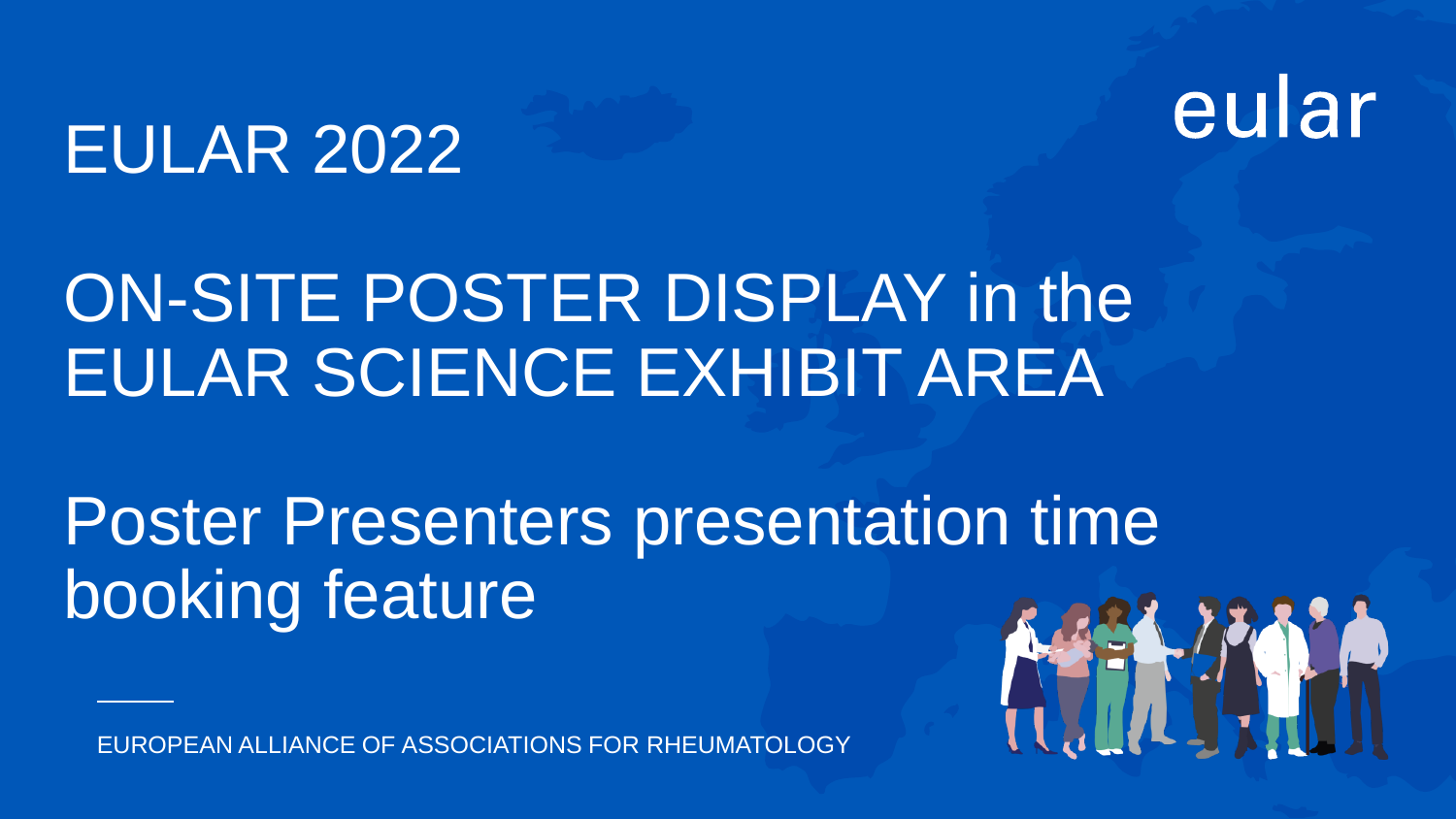# eular

## EULAR 2022

# ON-SITE POSTER DISPLAY in the EULAR SCIENCE EXHIBIT AREA

# Poster Presenters presentation time booking feature

EUROPEAN ALLIANCE OF ASSOCIATIONS FOR RHEUMATOLOGY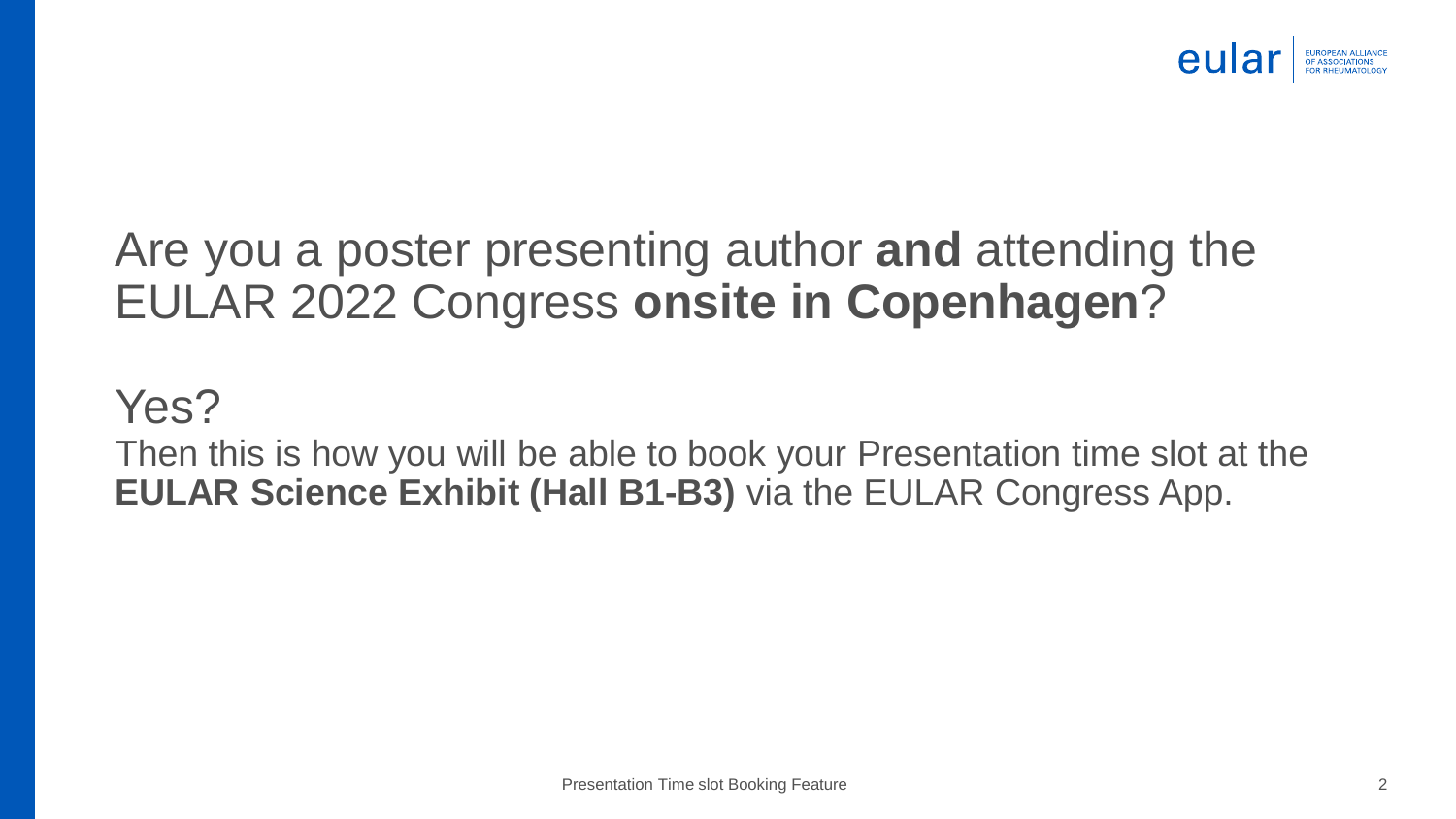

### Are you a poster presenting author **and** attending the EULAR 2022 Congress **onsite in Copenhagen**?

### Yes?

Then this is how you will be able to book your Presentation time slot at the **EULAR Science Exhibit (Hall B1-B3)** via the EULAR Congress App.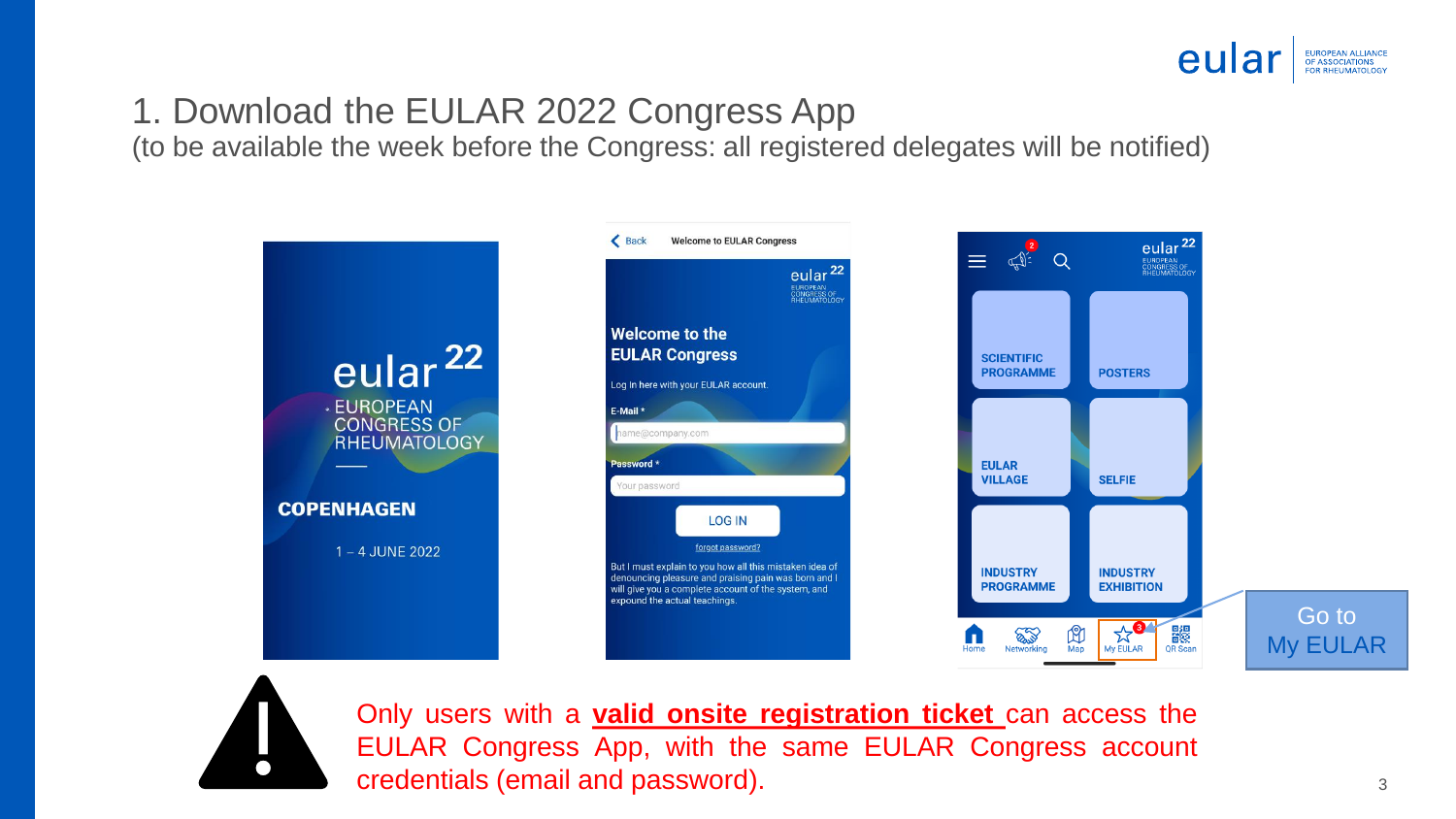

#### 1. Download the EULAR 2022 Congress App

(to be available the week before the Congress: all registered delegates will be notified)





Only users with a **valid onsite registration ticket** can access the EULAR Congress App, with the same EULAR Congress account credentials (email and password).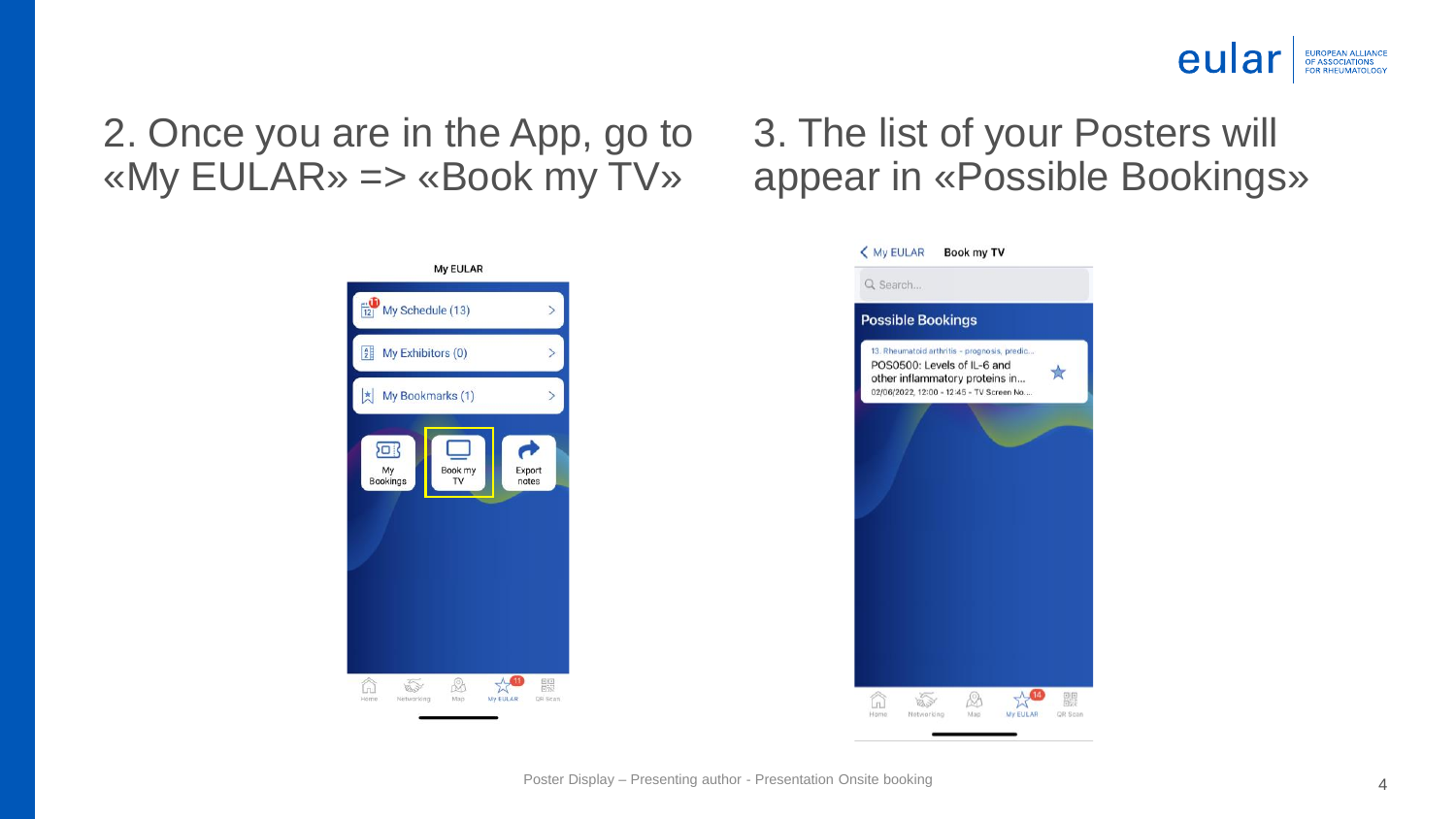

### 2. Once you are in the App, go to «My EULAR» => «Book my TV»



### 3. The list of your Posters will appear in «Possible Bookings»

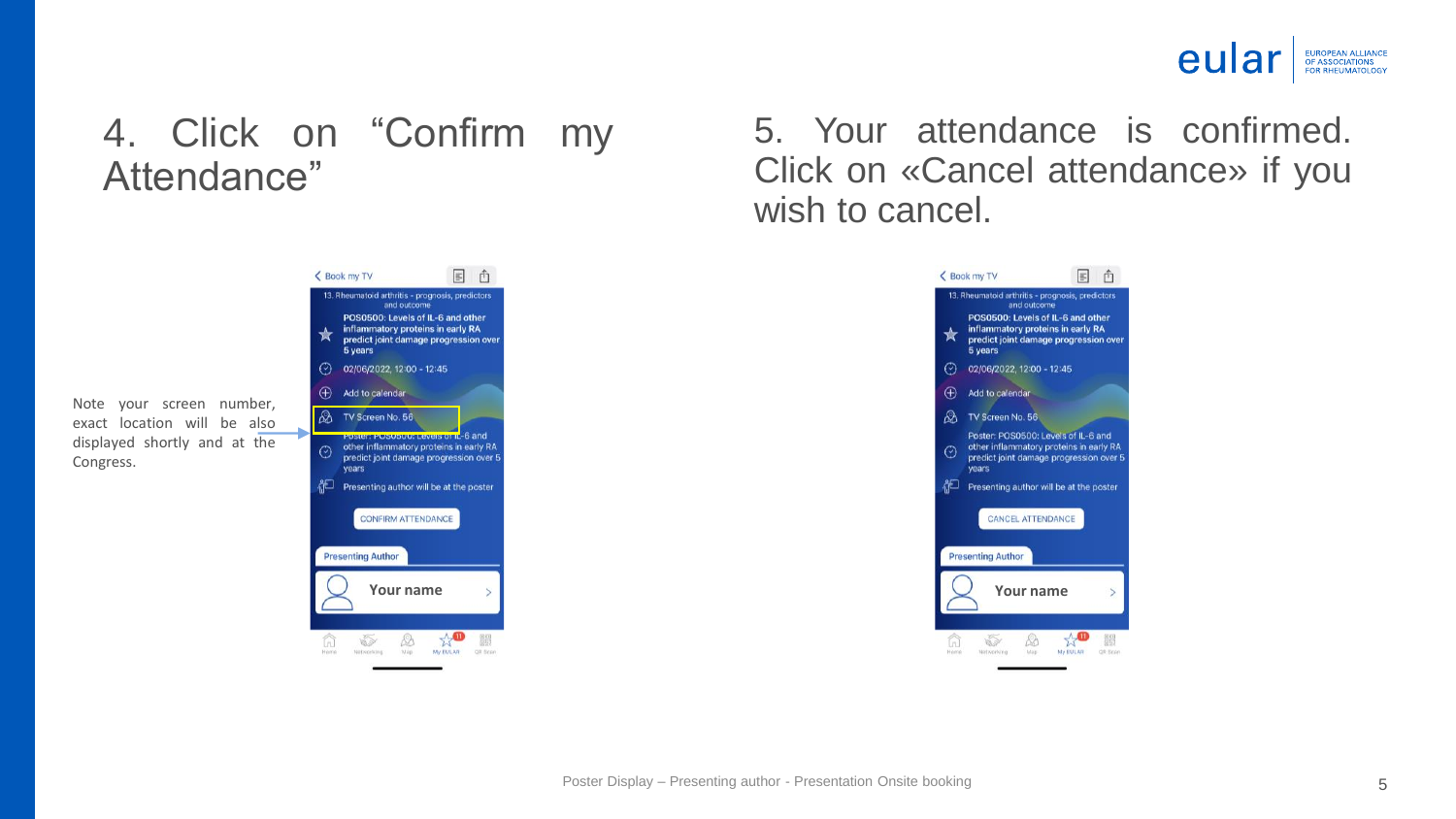

#### 4. Click on "Confirm my Attendance"

Note your screen number, exact location will be also displayed shortly and at the Congress.



5. Your attendance is confirmed. Click on «Cancel attendance» if you wish to cancel.

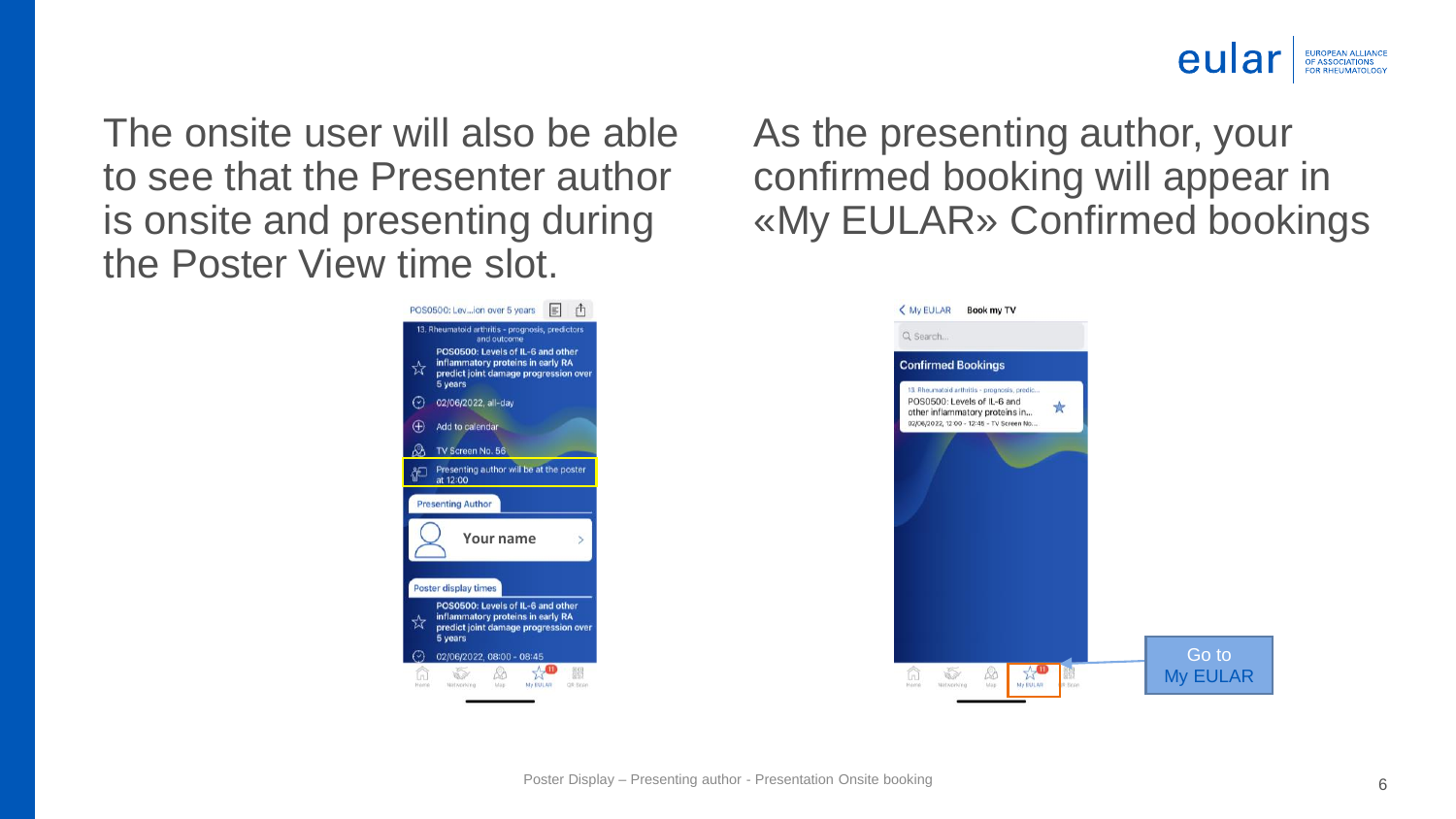

The onsite user will also be able to see that the Presenter author is onsite and presenting during the Poster View time slot.



As the presenting author, your confirmed booking will appear in «My EULAR» Confirmed bookings